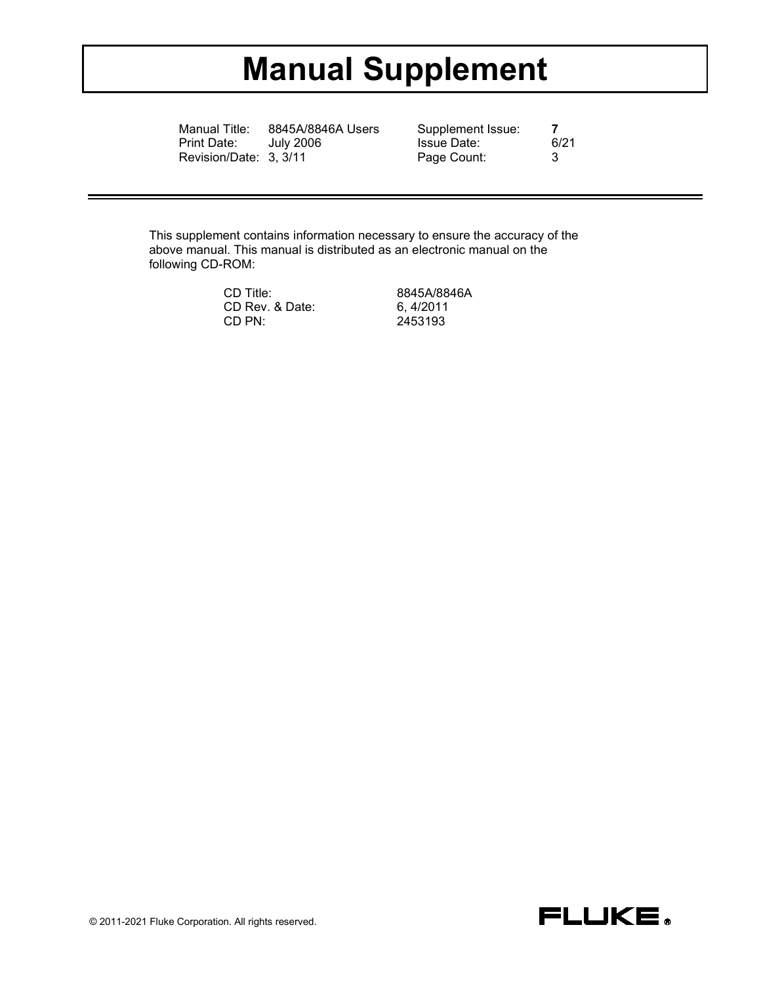# **Manual Supplement**

Manual Title: 8845A/8846A Users Supplement Issue: **7**<br>Print Date: July 2006 **1988** Issue Date: 6/21 Revision/Date: 3, 3/11 Page Count: 3

Issue Date:<br>Page Count:

This supplement contains information necessary to ensure the accuracy of the above manual. This manual is distributed as an electronic manual on the following CD-ROM:

> CD Title: 8845A/8846A<br>CD Rev. & Date: 6, 4/2011 CD Rev. & Date:<br>CD PN:

CD PN: 2453193

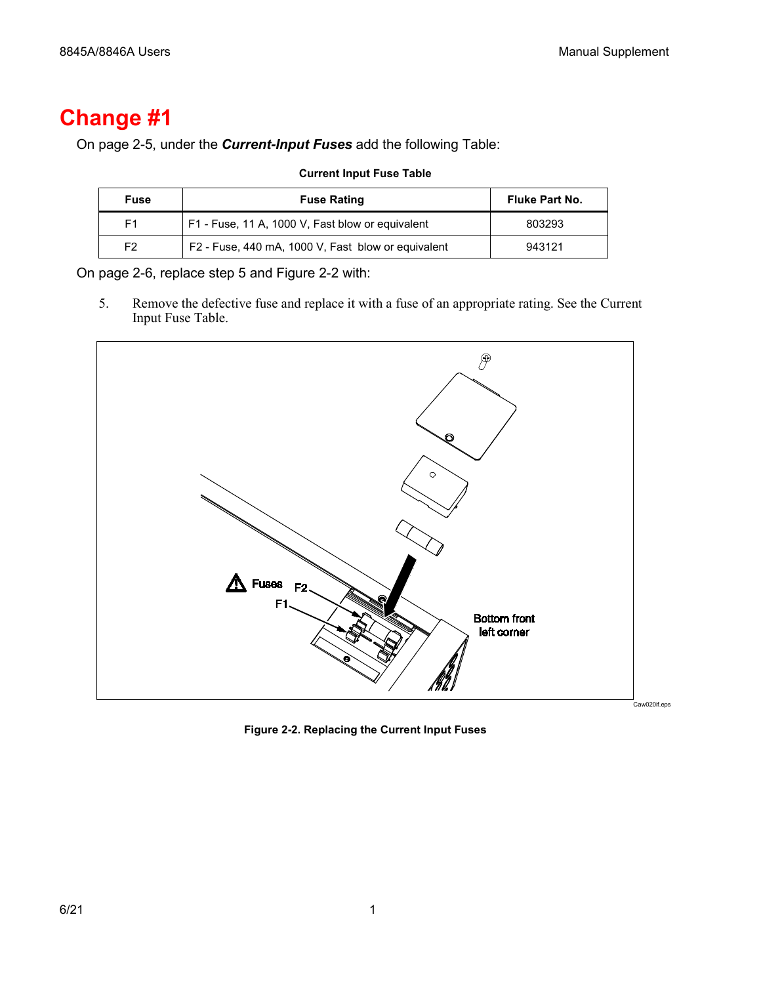# **Change #1**

On page 2-5, under the *Current-Input Fuses* add the following Table:

| <b>Fuse</b> | <b>Fuse Rating</b>                                 | Fluke Part No. |
|-------------|----------------------------------------------------|----------------|
| F1          | F1 - Fuse, 11 A, 1000 V, Fast blow or equivalent   | 803293         |
| F2          | F2 - Fuse, 440 mA, 1000 V, Fast blow or equivalent | 943121         |

**Current Input Fuse Table**

On page 2-6, replace step 5 and Figure 2-2 with:

5. Remove the defective fuse and replace it with a fuse of an appropriate rating. See the Current Input Fuse Table.



**Figure 2-2. Replacing the Current Input Fuses**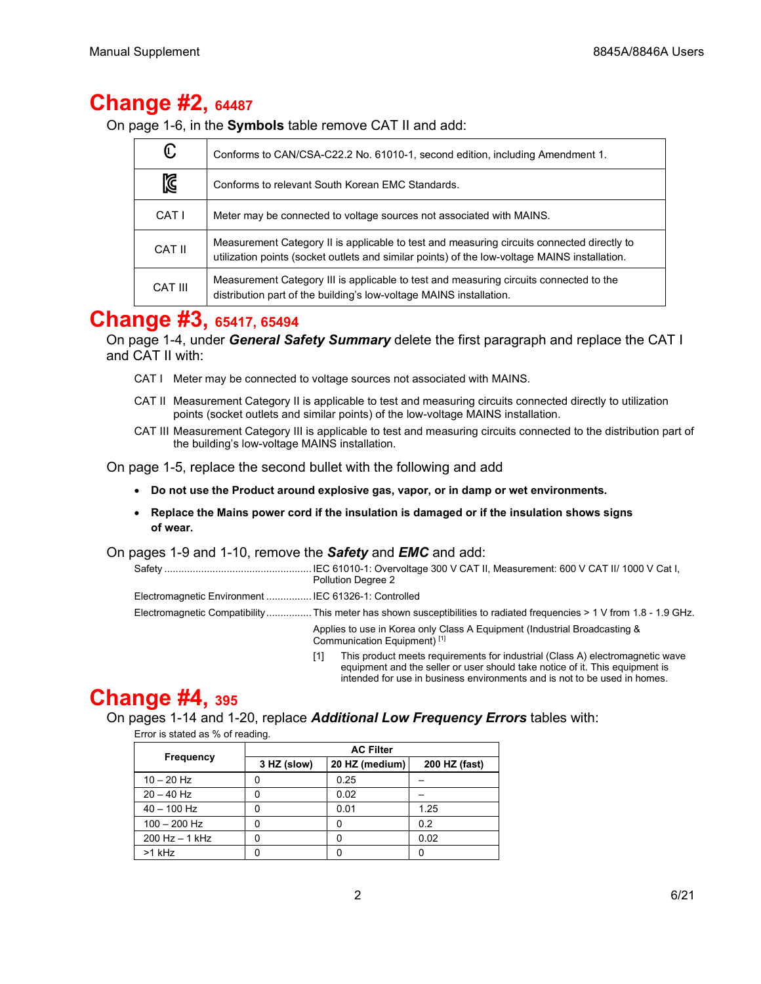# **Change #2, 64487**

On page 1-6, in the **Symbols** table remove CAT II and add:

| C       | Conforms to CAN/CSA-C22.2 No. 61010-1, second edition, including Amendment 1.                                                                                                               |
|---------|---------------------------------------------------------------------------------------------------------------------------------------------------------------------------------------------|
| 】       | Conforms to relevant South Korean EMC Standards.                                                                                                                                            |
| CAT I   | Meter may be connected to voltage sources not associated with MAINS.                                                                                                                        |
| CAT II  | Measurement Category II is applicable to test and measuring circuits connected directly to<br>utilization points (socket outlets and similar points) of the low-voltage MAINS installation. |
| CAT III | Measurement Category III is applicable to test and measuring circuits connected to the<br>distribution part of the building's low-voltage MAINS installation.                               |

### **Change #3, 65417, 65494**

On page 1-4, under *General Safety Summary* delete the first paragraph and replace the CAT I and CAT II with:

- CAT I Meter may be connected to voltage sources not associated with MAINS.
- CAT II Measurement Category II is applicable to test and measuring circuits connected directly to utilization points (socket outlets and similar points) of the low-voltage MAINS installation.
- CAT III Measurement Category III is applicable to test and measuring circuits connected to the distribution part of the building's low-voltage MAINS installation.

On page 1-5, replace the second bullet with the following and add

- **Do not use the Product around explosive gas, vapor, or in damp or wet environments.**
- **Replace the Mains power cord if the insulation is damaged or if the insulation shows signs of wear.**

#### On pages 1-9 and 1-10, remove the *Safety* and *EMC* and add:

|                                                      | Pollution Degree 2                                                                                                    |  |  |
|------------------------------------------------------|-----------------------------------------------------------------------------------------------------------------------|--|--|
| Electromagnetic Environment  IEC 61326-1: Controlled |                                                                                                                       |  |  |
|                                                      | Electromagnetic Compatibility This meter has shown susceptibilities to radiated frequencies > 1 V from 1.8 - 1.9 GHz. |  |  |
|                                                      | Applies to use in Korea only Class A Equipment (Industrial Broadcasting &<br>Communication Equipment) <sup>[1]</sup>  |  |  |
|                                                      | This product meets requirements for industrial (Class A) electromagnetic wave<br>[1]                                  |  |  |

equipment and the seller or user should take notice of it. This equipment is intended for use in business environments and is not to be used in homes.

# **Change #4, 395**

On pages 1-14 and 1-20, replace *Additional Low Frequency Errors* tables with:

Error is stated as % of reading.

|                    | <b>AC Filter</b> |                |               |  |
|--------------------|------------------|----------------|---------------|--|
| <b>Frequency</b>   | 3 HZ (slow)      | 20 HZ (medium) | 200 HZ (fast) |  |
| $10 - 20$ Hz       |                  | 0.25           |               |  |
| $20 - 40$ Hz       |                  | 0.02           |               |  |
| $40 - 100$ Hz      |                  | 0.01           | 1.25          |  |
| $100 - 200$ Hz     |                  | O              | 0.2           |  |
| $200$ Hz $-$ 1 kHz |                  |                | 0.02          |  |
| $>1$ kHz           |                  |                |               |  |